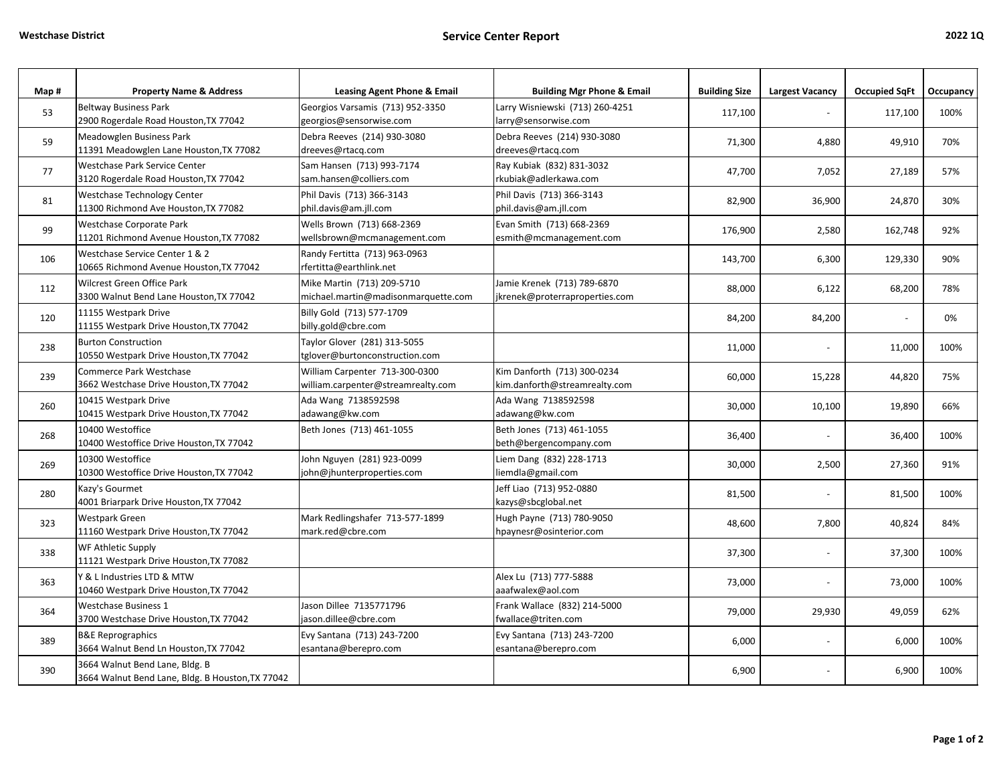| Map# | <b>Property Name &amp; Address</b>                                                 | <b>Leasing Agent Phone &amp; Email</b>                               | <b>Building Mgr Phone &amp; Email</b>                         | <b>Building Size</b> | <b>Largest Vacancy</b> | <b>Occupied SqFt</b> | <b>Occupancy</b> |
|------|------------------------------------------------------------------------------------|----------------------------------------------------------------------|---------------------------------------------------------------|----------------------|------------------------|----------------------|------------------|
| 53   | <b>Beltway Business Park</b><br>2900 Rogerdale Road Houston, TX 77042              | Georgios Varsamis (713) 952-3350<br>georgios@sensorwise.com          | Larry Wisniewski (713) 260-4251<br>larry@sensorwise.com       | 117,100              |                        | 117,100              | 100%             |
| 59   | Meadowglen Business Park<br>11391 Meadowglen Lane Houston, TX 77082                | Debra Reeves (214) 930-3080<br>dreeves@rtacq.com                     | Debra Reeves (214) 930-3080<br>dreeves@rtacq.com              | 71,300               | 4,880                  | 49,910               | 70%              |
| 77   | Westchase Park Service Center<br>3120 Rogerdale Road Houston, TX 77042             | Sam Hansen (713) 993-7174<br>sam.hansen@colliers.com                 | Ray Kubiak (832) 831-3032<br>rkubiak@adlerkawa.com            | 47,700               | 7,052                  | 27,189               | 57%              |
| 81   | Westchase Technology Center<br>11300 Richmond Ave Houston, TX 77082                | Phil Davis (713) 366-3143<br>phil.davis@am.jll.com                   | Phil Davis (713) 366-3143<br>phil.davis@am.jll.com            | 82,900               | 36,900                 | 24,870               | 30%              |
| 99   | Westchase Corporate Park<br>11201 Richmond Avenue Houston, TX 77082                | Wells Brown (713) 668-2369<br>wellsbrown@mcmanagement.com            | Evan Smith (713) 668-2369<br>esmith@mcmanagement.com          | 176,900              | 2,580                  | 162,748              | 92%              |
| 106  | Westchase Service Center 1 & 2<br>10665 Richmond Avenue Houston, TX 77042          | Randy Fertitta (713) 963-0963<br>rfertitta@earthlink.net             |                                                               | 143,700              | 6,300                  | 129,330              | 90%              |
| 112  | Wilcrest Green Office Park<br>3300 Walnut Bend Lane Houston, TX 77042              | Mike Martin (713) 209-5710<br>michael.martin@madisonmarquette.com    | Jamie Krenek (713) 789-6870<br>jkrenek@proterraproperties.com | 88,000               | 6,122                  | 68,200               | 78%              |
| 120  | 11155 Westpark Drive<br>11155 Westpark Drive Houston, TX 77042                     | Billy Gold (713) 577-1709<br>billy.gold@cbre.com                     |                                                               | 84,200               | 84,200                 |                      | 0%               |
| 238  | <b>Burton Construction</b><br>10550 Westpark Drive Houston, TX 77042               | Taylor Glover (281) 313-5055<br>tglover@burtonconstruction.com       |                                                               | 11,000               |                        | 11,000               | 100%             |
| 239  | Commerce Park Westchase<br>3662 Westchase Drive Houston, TX 77042                  | William Carpenter 713-300-0300<br>william.carpenter@streamrealty.com | Kim Danforth (713) 300-0234<br>kim.danforth@streamrealty.com  | 60,000               | 15,228                 | 44,820               | 75%              |
| 260  | 10415 Westpark Drive<br>10415 Westpark Drive Houston, TX 77042                     | Ada Wang 7138592598<br>adawang@kw.com                                | Ada Wang 7138592598<br>adawang@kw.com                         | 30,000               | 10,100                 | 19,890               | 66%              |
| 268  | 10400 Westoffice<br>10400 Westoffice Drive Houston, TX 77042                       | Beth Jones (713) 461-1055                                            | Beth Jones (713) 461-1055<br>beth@bergencompany.com           | 36,400               |                        | 36,400               | 100%             |
| 269  | 10300 Westoffice<br>10300 Westoffice Drive Houston, TX 77042                       | John Nguyen (281) 923-0099<br>john@jhunterproperties.com             | Liem Dang (832) 228-1713<br>liemdla@gmail.com                 | 30,000               | 2,500                  | 27,360               | 91%              |
| 280  | Kazy's Gourmet<br>4001 Briarpark Drive Houston, TX 77042                           |                                                                      | Jeff Liao (713) 952-0880<br>kazys@sbcglobal.net               | 81,500               |                        | 81,500               | 100%             |
| 323  | Westpark Green<br>11160 Westpark Drive Houston, TX 77042                           | Mark Redlingshafer 713-577-1899<br>mark.red@cbre.com                 | Hugh Payne (713) 780-9050<br>hpaynesr@osinterior.com          | 48,600               | 7,800                  | 40,824               | 84%              |
| 338  | WF Athletic Supply<br>11121 Westpark Drive Houston, TX 77082                       |                                                                      |                                                               | 37,300               | $\blacksquare$         | 37,300               | 100%             |
| 363  | Y & L Industries LTD & MTW<br>10460 Westpark Drive Houston, TX 77042               |                                                                      | Alex Lu (713) 777-5888<br>aaafwalex@aol.com                   | 73,000               |                        | 73,000               | 100%             |
| 364  | <b>Westchase Business 1</b><br>3700 Westchase Drive Houston, TX 77042              | Jason Dillee 7135771796<br>jason.dillee@cbre.com                     | Frank Wallace (832) 214-5000<br>fwallace@triten.com           | 79,000               | 29,930                 | 49,059               | 62%              |
| 389  | <b>B&amp;E Reprographics</b><br>3664 Walnut Bend Ln Houston, TX 77042              | Evy Santana (713) 243-7200<br>esantana@berepro.com                   | Evy Santana (713) 243-7200<br>esantana@berepro.com            | 6,000                |                        | 6,000                | 100%             |
| 390  | 3664 Walnut Bend Lane, Bldg. B<br>3664 Walnut Bend Lane, Bldg. B Houston, TX 77042 |                                                                      |                                                               | 6,900                |                        | 6,900                | 100%             |